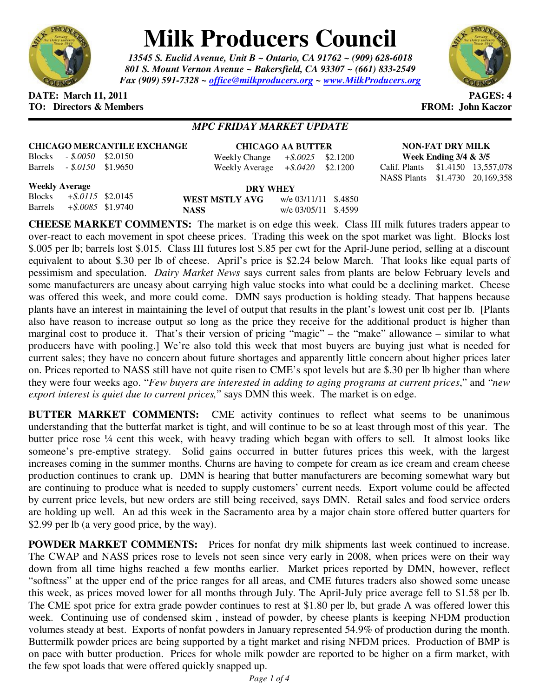

## **Milk Producers Council**

*13545 S. Euclid Avenue, Unit B ~ Ontario, CA 91762 ~ (909) 628-6018 801 S. Mount Vernon Avenue ~ Bakersfield, CA 93307 ~ (661) 833-2549 Fax (909) 591-7328 ~ office@milkproducers.org ~ www.MilkProducers.org*



**DATE: March 11, 2011 PAGES: 4 TO: Directors & Members FROM: John Kaczor** 

## *MPC FRIDAY MARKET UPDATE*

**CHICAGO MERCANTILE EXCHANGE** Blocks *- \$.0050* \$2.0150 Barrels *- \$.0150* \$1.9650

**CHICAGO AA BUTTER** Weekly Change *+\$.0025* \$2.1200 Weekly Average *+\$.0420* \$2.1200

**NON-FAT DRY MILK Week Ending 3/4 & 3/5**  Calif. Plants \$1.4150 13,557,078 NASS Plants \$1.4730 20,169,358

**Weekly Average** Blocks *+\$.0115* \$2.0145 Barrels *+\$.0085* \$1.9740

**DRY WHEY WEST MSTLY AVG** w/e 03/11/11 \$.4850 **NASS** w/e 03/05/11 \$.4599

**CHEESE MARKET COMMENTS:** The market is on edge this week. Class III milk futures traders appear to over-react to each movement in spot cheese prices. Trading this week on the spot market was light. Blocks lost \$.005 per lb; barrels lost \$.015. Class III futures lost \$.85 per cwt for the April-June period, selling at a discount equivalent to about \$.30 per lb of cheese. April's price is \$2.24 below March. That looks like equal parts of pessimism and speculation. *Dairy Market News* says current sales from plants are below February levels and some manufacturers are uneasy about carrying high value stocks into what could be a declining market. Cheese was offered this week, and more could come. DMN says production is holding steady. That happens because plants have an interest in maintaining the level of output that results in the plant's lowest unit cost per lb. [Plants also have reason to increase output so long as the price they receive for the additional product is higher than marginal cost to produce it. That's their version of pricing "magic" – the "make" allowance – similar to what producers have with pooling.] We're also told this week that most buyers are buying just what is needed for current sales; they have no concern about future shortages and apparently little concern about higher prices later on. Prices reported to NASS still have not quite risen to CME's spot levels but are \$.30 per lb higher than where they were four weeks ago. "*Few buyers are interested in adding to aging programs at current prices*," and "*new export interest is quiet due to current prices,*" says DMN this week. The market is on edge.

**BUTTER MARKET COMMENTS:** CME activity continues to reflect what seems to be unanimous understanding that the butterfat market is tight, and will continue to be so at least through most of this year. The butter price rose ¼ cent this week, with heavy trading which began with offers to sell. It almost looks like someone's pre-emptive strategy. Solid gains occurred in butter futures prices this week, with the largest increases coming in the summer months. Churns are having to compete for cream as ice cream and cream cheese production continues to crank up. DMN is hearing that butter manufacturers are becoming somewhat wary but are continuing to produce what is needed to supply customers' current needs. Export volume could be affected by current price levels, but new orders are still being received, says DMN. Retail sales and food service orders are holding up well. An ad this week in the Sacramento area by a major chain store offered butter quarters for \$2.99 per lb (a very good price, by the way).

**POWDER MARKET COMMENTS:** Prices for nonfat dry milk shipments last week continued to increase. The CWAP and NASS prices rose to levels not seen since very early in 2008, when prices were on their way down from all time highs reached a few months earlier. Market prices reported by DMN, however, reflect "softness" at the upper end of the price ranges for all areas, and CME futures traders also showed some unease this week, as prices moved lower for all months through July. The April-July price average fell to \$1.58 per lb. The CME spot price for extra grade powder continues to rest at \$1.80 per lb, but grade A was offered lower this week. Continuing use of condensed skim , instead of powder, by cheese plants is keeping NFDM production volumes steady at best. Exports of nonfat powders in January represented 54.9% of production during the month. Buttermilk powder prices are being supported by a tight market and rising NFDM prices. Production of BMP is on pace with butter production. Prices for whole milk powder are reported to be higher on a firm market, with the few spot loads that were offered quickly snapped up.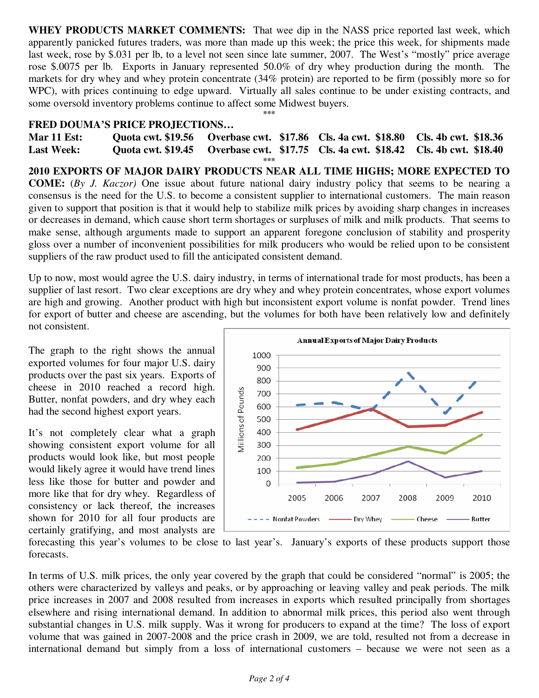**WHEY PRODUCTS MARKET COMMENTS:** That wee dip in the NASS price reported last week, which apparently panicked futures traders, was more than made up this week; the price this week, for shipments made last week, rose by \$.031 per lb, to a level not seen since late summer, 2007. The West's "mostly" price average rose \$.0075 per lb. Exports in January represented 50.0% of dry whey production during the month. The markets for dry whey and whey protein concentrate (34% protein) are reported to be firm (possibly more so for WPC), with prices continuing to edge upward. Virtually all sales continue to be under existing contracts, and some oversold inventory problems continue to affect some Midwest buyers. **\*\*\*** 

## **FRED DOUMA'S PRICE PROJECTIONS…**

**Mar 11 Est: Quota cwt. \$19.56 Overbase cwt. \$17.86 Cls. 4a cwt. \$18.80 Cls. 4b cwt. \$18.36 Last Week: Quota cwt. \$19.45 Overbase cwt. \$17.75 Cls. 4a cwt. \$18.42 Cls. 4b cwt. \$18.40 \*\*\*** 

**2010 EXPORTS OF MAJOR DAIRY PRODUCTS NEAR ALL TIME HIGHS; MORE EXPECTED TO COME:** (*By J. Kaczor)* One issue about future national dairy industry policy that seems to be nearing a consensus is the need for the U.S. to become a consistent supplier to international customers. The main reason given to support that position is that it would help to stabilize milk prices by avoiding sharp changes in increases or decreases in demand, which cause short term shortages or surpluses of milk and milk products. That seems to make sense, although arguments made to support an apparent foregone conclusion of stability and prosperity gloss over a number of inconvenient possibilities for milk producers who would be relied upon to be consistent suppliers of the raw product used to fill the anticipated consistent demand.

Up to now, most would agree the U.S. dairy industry, in terms of international trade for most products, has been a supplier of last resort. Two clear exceptions are dry whey and whey protein concentrates, whose export volumes are high and growing. Another product with high but inconsistent export volume is nonfat powder. Trend lines for export of butter and cheese are ascending, but the volumes for both have been relatively low and definitely not consistent.

The graph to the right shows the annual exported volumes for four major U.S. dairy products over the past six years. Exports of cheese in 2010 reached a record high. Butter, nonfat powders, and dry whey each had the second highest export years.

It's not completely clear what a graph showing consistent export volume for all products would look like, but most people would likely agree it would have trend lines less like those for butter and powder and more like that for dry whey. Regardless of consistency or lack thereof, the increases shown for 2010 for all four products are certainly gratifying, and most analysts are



forecasting this year's volumes to be close to last year's. January's exports of these products support those forecasts.

In terms of U.S. milk prices, the only year covered by the graph that could be considered "normal" is 2005; the others were characterized by valleys and peaks, or by approaching or leaving valley and peak periods. The milk price increases in 2007 and 2008 resulted from increases in exports which resulted principally from shortages elsewhere and rising international demand. In addition to abnormal milk prices, this period also went through substantial changes in U.S. milk supply. Was it wrong for producers to expand at the time? The loss of export volume that was gained in 2007-2008 and the price crash in 2009, we are told, resulted not from a decrease in international demand but simply from a loss of international customers – because we were not seen as a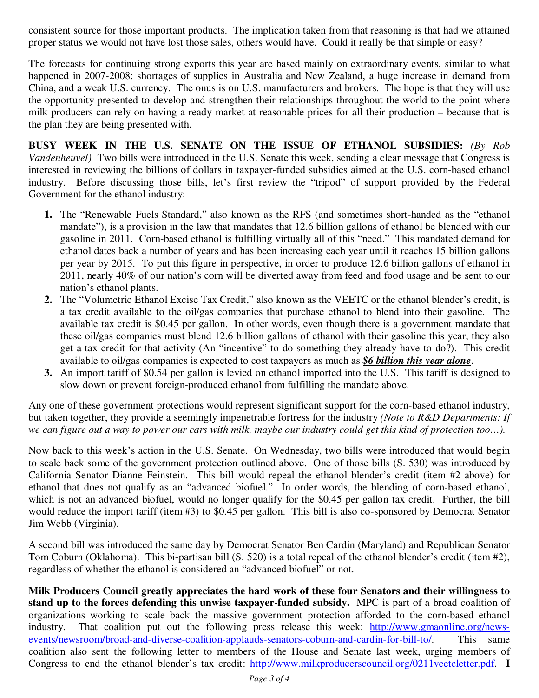consistent source for those important products. The implication taken from that reasoning is that had we attained proper status we would not have lost those sales, others would have. Could it really be that simple or easy?

The forecasts for continuing strong exports this year are based mainly on extraordinary events, similar to what happened in 2007-2008: shortages of supplies in Australia and New Zealand, a huge increase in demand from China, and a weak U.S. currency. The onus is on U.S. manufacturers and brokers. The hope is that they will use the opportunity presented to develop and strengthen their relationships throughout the world to the point where milk producers can rely on having a ready market at reasonable prices for all their production – because that is the plan they are being presented with.

**BUSY WEEK IN THE U.S. SENATE ON THE ISSUE OF ETHANOL SUBSIDIES:** *(By Rob Vandenheuvel)* Two bills were introduced in the U.S. Senate this week, sending a clear message that Congress is interested in reviewing the billions of dollars in taxpayer-funded subsidies aimed at the U.S. corn-based ethanol industry. Before discussing those bills, let's first review the "tripod" of support provided by the Federal Government for the ethanol industry:

- **1.** The "Renewable Fuels Standard," also known as the RFS (and sometimes short-handed as the "ethanol mandate"), is a provision in the law that mandates that 12.6 billion gallons of ethanol be blended with our gasoline in 2011. Corn-based ethanol is fulfilling virtually all of this "need." This mandated demand for ethanol dates back a number of years and has been increasing each year until it reaches 15 billion gallons per year by 2015. To put this figure in perspective, in order to produce 12.6 billion gallons of ethanol in 2011, nearly 40% of our nation's corn will be diverted away from feed and food usage and be sent to our nation's ethanol plants.
- **2.** The "Volumetric Ethanol Excise Tax Credit," also known as the VEETC or the ethanol blender's credit, is a tax credit available to the oil/gas companies that purchase ethanol to blend into their gasoline. The available tax credit is \$0.45 per gallon. In other words, even though there is a government mandate that these oil/gas companies must blend 12.6 billion gallons of ethanol with their gasoline this year, they also get a tax credit for that activity (An "incentive" to do something they already have to do?). This credit available to oil/gas companies is expected to cost taxpayers as much as *\$6 billion this year alone*.
- **3.** An import tariff of \$0.54 per gallon is levied on ethanol imported into the U.S. This tariff is designed to slow down or prevent foreign-produced ethanol from fulfilling the mandate above.

Any one of these government protections would represent significant support for the corn-based ethanol industry, but taken together, they provide a seemingly impenetrable fortress for the industry *(Note to R&D Departments: If we can figure out a way to power our cars with milk, maybe our industry could get this kind of protection too…).*

Now back to this week's action in the U.S. Senate. On Wednesday, two bills were introduced that would begin to scale back some of the government protection outlined above. One of those bills (S. 530) was introduced by California Senator Dianne Feinstein. This bill would repeal the ethanol blender's credit (item #2 above) for ethanol that does not qualify as an "advanced biofuel." In order words, the blending of corn-based ethanol, which is not an advanced biofuel, would no longer qualify for the \$0.45 per gallon tax credit. Further, the bill would reduce the import tariff (item #3) to \$0.45 per gallon. This bill is also co-sponsored by Democrat Senator Jim Webb (Virginia).

A second bill was introduced the same day by Democrat Senator Ben Cardin (Maryland) and Republican Senator Tom Coburn (Oklahoma). This bi-partisan bill (S. 520) is a total repeal of the ethanol blender's credit (item #2), regardless of whether the ethanol is considered an "advanced biofuel" or not.

**Milk Producers Council greatly appreciates the hard work of these four Senators and their willingness to stand up to the forces defending this unwise taxpayer-funded subsidy.** MPC is part of a broad coalition of organizations working to scale back the massive government protection afforded to the corn-based ethanol industry. That coalition put out the following press release this week: http://www.gmaonline.org/newsevents/newsroom/broad-and-diverse-coalition-applauds-senators-coburn-and-cardin-for-bill-to/. This same coalition also sent the following letter to members of the House and Senate last week, urging members of Congress to end the ethanol blender's tax credit: http://www.milkproducerscouncil.org/0211veetcletter.pdf. **I**